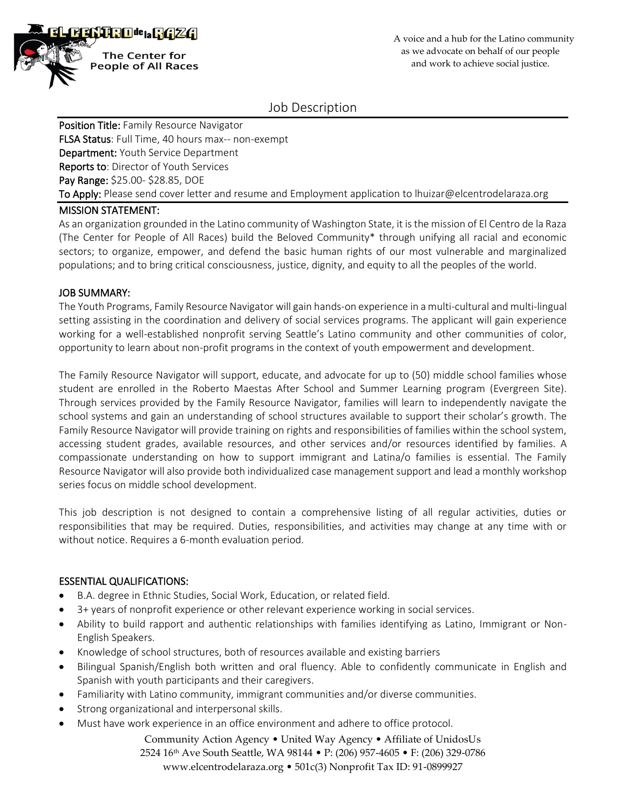

Job Description

Position Title: Family Resource Navigator FLSA Status: Full Time, 40 hours max-- non-exempt Department: Youth Service Department Reports to: Director of Youth Services Pay Range: \$25.00- \$28.85, DOE To Apply: Please send cover letter and resume and Employment application to Ihuizar@elcentrodelaraza.org

## MISSION STATEMENT:

As an organization grounded in the Latino community of Washington State, it is the mission of El Centro de la Raza (The Center for People of All Races) build the Beloved Community\* through unifying all racial and economic sectors; to organize, empower, and defend the basic human rights of our most vulnerable and marginalized populations; and to bring critical consciousness, justice, dignity, and equity to all the peoples of the world.

# JOB SUMMARY:

The Youth Programs, Family Resource Navigator will gain hands-on experience in a multi-cultural and multi-lingual setting assisting in the coordination and delivery of social services programs. The applicant will gain experience working for a well-established nonprofit serving Seattle's Latino community and other communities of color, opportunity to learn about non-profit programs in the context of youth empowerment and development.

The Family Resource Navigator will support, educate, and advocate for up to (50) middle school families whose student are enrolled in the Roberto Maestas After School and Summer Learning program (Evergreen Site). Through services provided by the Family Resource Navigator, families will learn to independently navigate the school systems and gain an understanding of school structures available to support their scholar's growth. The Family Resource Navigator will provide training on rights and responsibilities of families within the school system, accessing student grades, available resources, and other services and/or resources identified by families. A compassionate understanding on how to support immigrant and Latina/o families is essential. The Family Resource Navigator will also provide both individualized case management support and lead a monthly workshop series focus on middle school development.

This job description is not designed to contain a comprehensive listing of all regular activities, duties or responsibilities that may be required. Duties, responsibilities, and activities may change at any time with or without notice. Requires a 6-month evaluation period.

# ESSENTIAL QUALIFICATIONS:

- B.A. degree in Ethnic Studies, Social Work, Education, or related field.
- 3+ years of nonprofit experience or other relevant experience working in social services.
- Ability to build rapport and authentic relationships with families identifying as Latino, Immigrant or Non-English Speakers.
- Knowledge of school structures, both of resources available and existing barriers
- Bilingual Spanish/English both written and oral fluency. Able to confidently communicate in English and Spanish with youth participants and their caregivers.
- Familiarity with Latino community, immigrant communities and/or diverse communities.
- Strong organizational and interpersonal skills.
- Must have work experience in an office environment and adhere to office protocol.

Community Action Agency • United Way Agency • Affiliate of UnidosUs 2524 16th Ave South Seattle, WA 98144 • P: (206) 957-4605 • F: (206) 329-0786 www.elcentrodelaraza.org • 501c(3) Nonprofit Tax ID: 91-0899927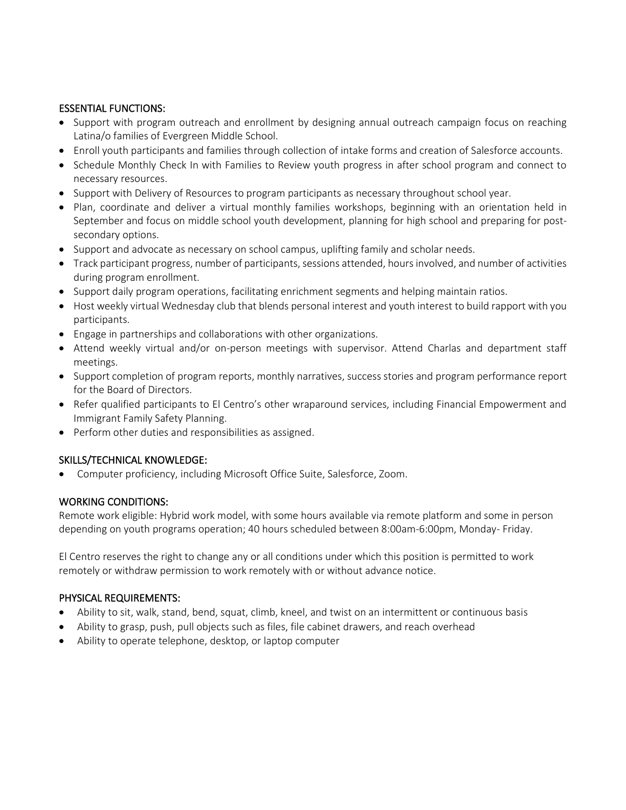# ESSENTIAL FUNCTIONS:

- Support with program outreach and enrollment by designing annual outreach campaign focus on reaching Latina/o families of Evergreen Middle School.
- Enroll youth participants and families through collection of intake forms and creation of Salesforce accounts.
- Schedule Monthly Check In with Families to Review youth progress in after school program and connect to necessary resources.
- Support with Delivery of Resources to program participants as necessary throughout school year.
- Plan, coordinate and deliver a virtual monthly families workshops, beginning with an orientation held in September and focus on middle school youth development, planning for high school and preparing for postsecondary options.
- Support and advocate as necessary on school campus, uplifting family and scholar needs.
- Track participant progress, number of participants, sessions attended, hours involved, and number of activities during program enrollment.
- Support daily program operations, facilitating enrichment segments and helping maintain ratios.
- Host weekly virtual Wednesday club that blends personal interest and youth interest to build rapport with you participants.
- Engage in partnerships and collaborations with other organizations.
- Attend weekly virtual and/or on-person meetings with supervisor. Attend Charlas and department staff meetings.
- Support completion of program reports, monthly narratives, success stories and program performance report for the Board of Directors.
- Refer qualified participants to El Centro's other wraparound services, including Financial Empowerment and Immigrant Family Safety Planning.
- Perform other duties and responsibilities as assigned.

# SKILLS/TECHNICAL KNOWLEDGE:

• Computer proficiency, including Microsoft Office Suite, Salesforce, Zoom.

## WORKING CONDITIONS:

Remote work eligible: Hybrid work model, with some hours available via remote platform and some in person depending on youth programs operation; 40 hours scheduled between 8:00am-6:00pm, Monday- Friday.

El Centro reserves the right to change any or all conditions under which this position is permitted to work remotely or withdraw permission to work remotely with or without advance notice.

## PHYSICAL REQUIREMENTS:

- Ability to sit, walk, stand, bend, squat, climb, kneel, and twist on an intermittent or continuous basis
- Ability to grasp, push, pull objects such as files, file cabinet drawers, and reach overhead
- Ability to operate telephone, desktop, or laptop computer